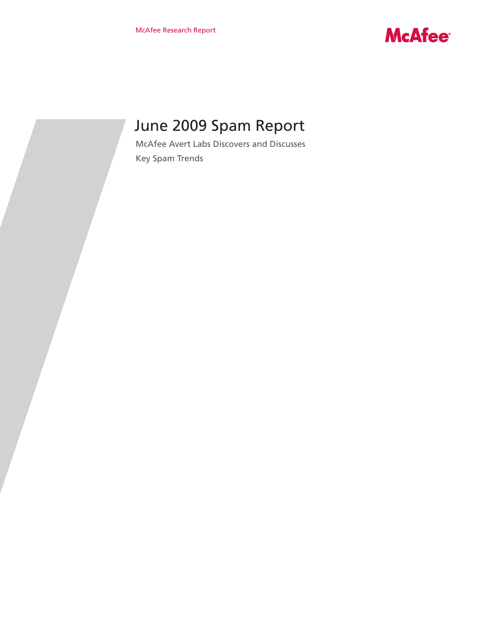

# June 2009 Spam Report

McAfee Avert Labs Discovers and Discusses Key Spam Trends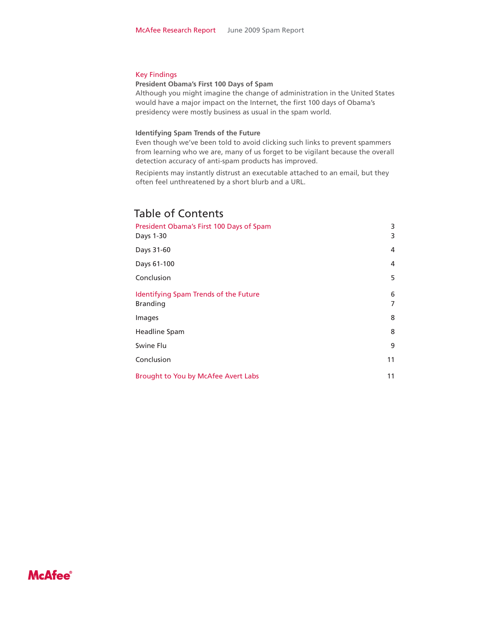#### Key Findings

#### **President Obama's First 100 Days of Spam**

Although you might imagine the change of administration in the United States would have a major impact on the Internet, the first 100 days of Obama's presidency were mostly business as usual in the spam world.

#### **Identifying Spam Trends of the Future**

Even though we've been told to avoid clicking such links to prevent spammers from learning who we are, many of us forget to be vigilant because the overall detection accuracy of anti-spam products has improved.

Recipients may instantly distrust an executable attached to an email, but they often feel unthreatened by a short blurb and a URL.

# Table of Contents

| President Obama's First 100 Days of Spam<br>Days 1-30    | 3<br>3 |
|----------------------------------------------------------|--------|
| Days 31-60                                               | 4      |
| Days 61-100                                              | 4      |
| Conclusion                                               | 5      |
| Identifying Spam Trends of the Future<br><b>Branding</b> | 6<br>7 |
| Images                                                   | 8      |
| Headline Spam                                            | 8      |
| Swine Flu                                                | 9      |
| Conclusion                                               | 11     |
| Brought to You by McAfee Avert Labs                      | 11     |

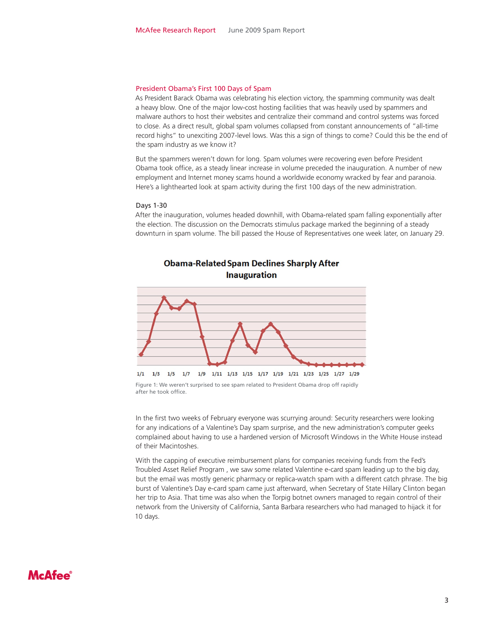#### President Obama's First 100 Days of Spam

As President Barack Obama was celebrating his election victory, the spamming community was dealt a heavy blow. One of the major low-cost hosting facilities that was heavily used by spammers and malware authors to host their websites and centralize their command and control systems was forced to close. As a direct result, global spam volumes collapsed from constant announcements of "all-time record highs" to unexciting 2007-level lows. Was this a sign of things to come? Could this be the end of the spam industry as we know it?

But the spammers weren't down for long. Spam volumes were recovering even before President Obama took office, as a steady linear increase in volume preceded the inauguration. A number of new employment and Internet money scams hound a worldwide economy wracked by fear and paranoia. Here's a lighthearted look at spam activity during the first 100 days of the new administration.

#### Days 1-30

After the inauguration, volumes headed downhill, with Obama-related spam falling exponentially after the election. The discussion on the Democrats stimulus package marked the beginning of a steady downturn in spam volume. The bill passed the House of Representatives one week later, on January 29.



### **Obama-Related Spam Declines Sharply After Inauguration**

In the first two weeks of February everyone was scurrying around: Security researchers were looking for any indications of a Valentine's Day spam surprise, and the new administration's computer geeks complained about having to use a hardened version of Microsoft Windows in the White House instead of their Macintoshes.

With the capping of executive reimbursement plans for companies receiving funds from the Fed's Troubled Asset Relief Program , we saw some related Valentine e-card spam leading up to the big day, but the email was mostly generic pharmacy or replica-watch spam with a different catch phrase. The big burst of Valentine's Day e-card spam came just afterward, when Secretary of State Hillary Clinton began her trip to Asia. That time was also when the Torpig botnet owners managed to regain control of their network from the University of California, Santa Barbara researchers who had managed to hijack it for 10 days.

Figure 1: We weren't surprised to see spam related to President Obama drop off rapidly after he took office.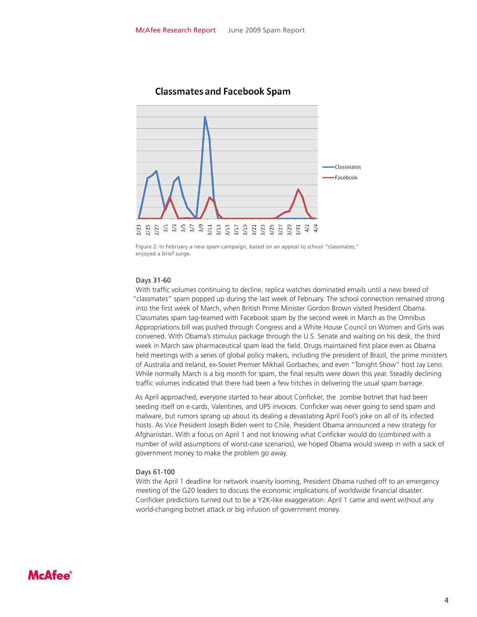

### **Classmates and Facebook Spam**

#### Days 31-60

With traffic volumes continuing to decline, replica watches dominated emails until a new breed of "classmates" spam popped up during the last week of February. The school connection remained strong into the first week of March, when British Prime Minister Gordon Brown visited President Obama. Classmates spam tag-teamed with Facebook spam by the second week in March as the Omnibus Appropriations bill was pushed through Congress and a White House Council on Women and Girls was convened. With Obama's stimulus package through the U.S. Senate and waiting on his desk, the third week in March saw pharmaceutical spam lead the field. Drugs maintained first place even as Obama held meetings with a series of global policy makers, including the president of Brazil, the prime ministers of Australia and Ireland, ex-Soviet Premier Mikhail Gorbachev, and even "Tonight Show" host Jay Leno. While normally March is a big month for spam, the final results were down this year. Steadily declining traffic volumes indicated that there had been a few hitches in delivering the usual spam barrage.

As April approached, everyone started to hear about Conficker, the zombie botnet that had been seeding itself on e-cards, Valentines, and UPS invoices. Conficker was never going to send spam and malware, but rumors sprang up about its dealing a devastating April Fool's joke on all of its infected hosts. As Vice President Joseph Biden went to Chile, President Obama announced a new strategy for Afghanistan. With a focus on April 1 and not knowing what Conficker would do (combined with a number of wild assumptions of worst-case scenarios), we hoped Obama would sweep in with a sack of government money to make the problem go away.

#### Days 61-100

With the April 1 deadline for network insanity looming, President Obama rushed off to an emergency meeting of the G20 leaders to discuss the economic implications of worldwide financial disaster. Conficker predictions turned out to be a Y2K-like exaggeration: April 1 came and went without any world-changing botnet attack or big infusion of government money.

Figure 2: In February a new spam campaign, based on an appeal to school "classmates," enjoyed a brief surge.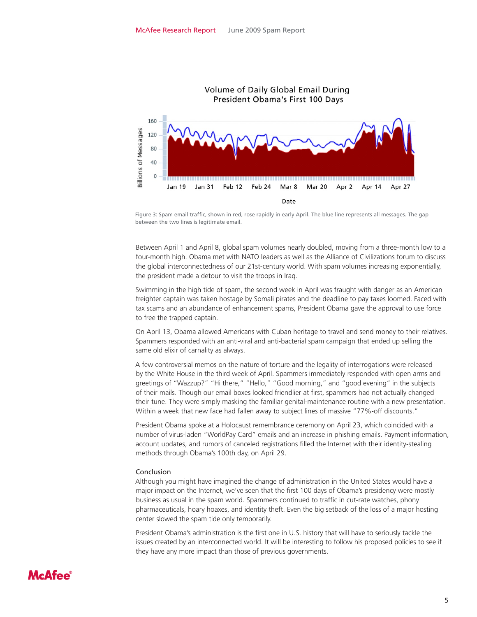

Figure 3: Spam email traffic, shown in red, rose rapidly in early April. The blue line represents all messages. The gap between the two lines is legitimate email.

Between April 1 and April 8, global spam volumes nearly doubled, moving from a three-month low to a four-month high. Obama met with NATO leaders as well as the Alliance of Civilizations forum to discuss the global interconnectedness of our 21st-century world. With spam volumes increasing exponentially, the president made a detour to visit the troops in Iraq.

Swimming in the high tide of spam, the second week in April was fraught with danger as an American freighter captain was taken hostage by Somali pirates and the deadline to pay taxes loomed. Faced with tax scams and an abundance of enhancement spams, President Obama gave the approval to use force to free the trapped captain.

On April 13, Obama allowed Americans with Cuban heritage to travel and send money to their relatives. Spammers responded with an anti-viral and anti-bacterial spam campaign that ended up selling the same old elixir of carnality as always.

A few controversial memos on the nature of torture and the legality of interrogations were released by the White House in the third week of April. Spammers immediately responded with open arms and greetings of "Wazzup?" "Hi there," "Hello," "Good morning," and "good evening" in the subjects of their mails. Though our email boxes looked friendlier at first, spammers had not actually changed their tune. They were simply masking the familiar genital-maintenance routine with a new presentation. Within a week that new face had fallen away to subject lines of massive "77%-off discounts."

President Obama spoke at a Holocaust remembrance ceremony on April 23, which coincided with a number of virus-laden "WorldPay Card" emails and an increase in phishing emails. Payment information, account updates, and rumors of canceled registrations filled the Internet with their identity-stealing methods through Obama's 100th day, on April 29.

#### Conclusion

Although you might have imagined the change of administration in the United States would have a major impact on the Internet, we've seen that the first 100 days of Obama's presidency were mostly business as usual in the spam world. Spammers continued to traffic in cut-rate watches, phony pharmaceuticals, hoary hoaxes, and identity theft. Even the big setback of the loss of a major hosting center slowed the spam tide only temporarily.

President Obama's administration is the first one in U.S. history that will have to seriously tackle the issues created by an interconnected world. It will be interesting to follow his proposed policies to see if they have any more impact than those of previous governments.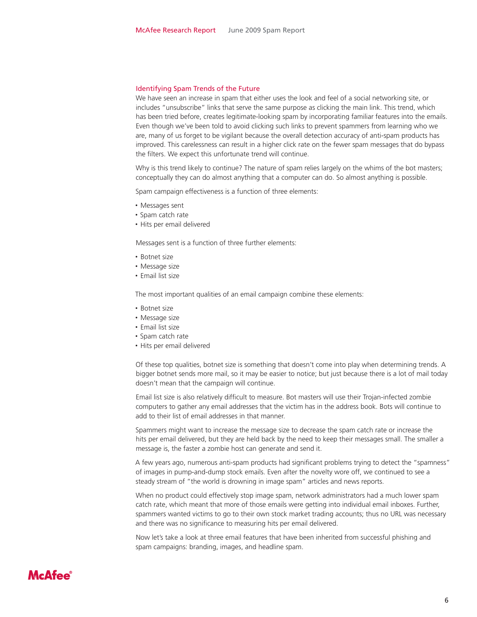#### Identifying Spam Trends of the Future

We have seen an increase in spam that either uses the look and feel of a social networking site, or includes "unsubscribe" links that serve the same purpose as clicking the main link. This trend, which has been tried before, creates legitimate-looking spam by incorporating familiar features into the emails. Even though we've been told to avoid clicking such links to prevent spammers from learning who we are, many of us forget to be vigilant because the overall detection accuracy of anti-spam products has improved. This carelessness can result in a higher click rate on the fewer spam messages that do bypass the filters. We expect this unfortunate trend will continue.

Why is this trend likely to continue? The nature of spam relies largely on the whims of the bot masters; conceptually they can do almost anything that a computer can do. So almost anything is possible.

Spam campaign effectiveness is a function of three elements:

- Messages sent
- Spam catch rate
- Hits per email delivered

Messages sent is a function of three further elements:

- Botnet size
- Message size
- Email list size

The most important qualities of an email campaign combine these elements:

- Botnet size
- Message size
- Email list size
- Spam catch rate
- Hits per email delivered

Of these top qualities, botnet size is something that doesn't come into play when determining trends. A bigger botnet sends more mail, so it may be easier to notice; but just because there is a lot of mail today doesn't mean that the campaign will continue.

Email list size is also relatively difficult to measure. Bot masters will use their Trojan-infected zombie computers to gather any email addresses that the victim has in the address book. Bots will continue to add to their list of email addresses in that manner.

Spammers might want to increase the message size to decrease the spam catch rate or increase the hits per email delivered, but they are held back by the need to keep their messages small. The smaller a message is, the faster a zombie host can generate and send it.

A few years ago, numerous anti-spam products had significant problems trying to detect the "spamness" of images in pump-and-dump stock emails. Even after the novelty wore off, we continued to see a steady stream of "the world is drowning in image spam" articles and news reports.

When no product could effectively stop image spam, network administrators had a much lower spam catch rate, which meant that more of those emails were getting into individual email inboxes. Further, spammers wanted victims to go to their own stock market trading accounts; thus no URL was necessary and there was no significance to measuring hits per email delivered.

Now let's take a look at three email features that have been inherited from successful phishing and spam campaigns: branding, images, and headline spam.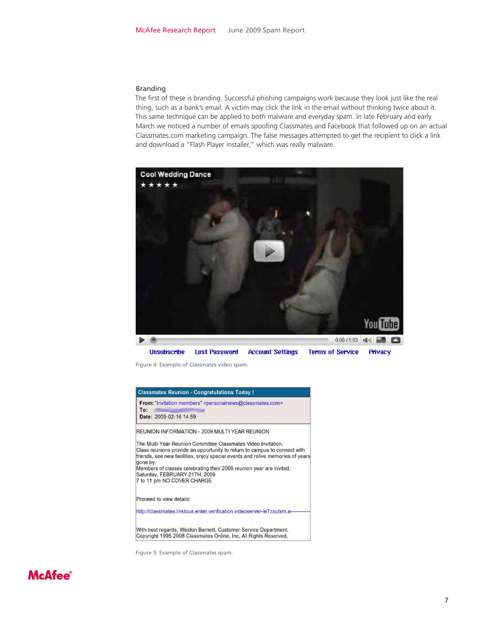#### Branding

The first of these is branding. Successful phishing campaigns work because they look just like the real thing, such as a bank's email. A victim may click the link in the email without thinking twice about it. This same technique can be applied to both malware and everyday spam. In late February and early March we noticed a number of emails spoofing Classmates and Facebook that followed up on an actual Classmates.com marketing campaign. The false messages attempted to get the recipient to click a link and download a "Flash Player installer," which was really malware.



Figure 4: Example of Classmates video spam.

| <b>Classmates Reunion - Congratulations Today!</b>                                                                                                                                                                                                                                                                                                                             |
|--------------------------------------------------------------------------------------------------------------------------------------------------------------------------------------------------------------------------------------------------------------------------------------------------------------------------------------------------------------------------------|
| From: "Invitation members" <personalnews@classmates.com><br/>To:<br/>Date: 2009-02-16 14:59</personalnews@classmates.com>                                                                                                                                                                                                                                                      |
| REUNION INFORMATION - 2009 MULTI YEAR REUNION                                                                                                                                                                                                                                                                                                                                  |
| The Multi-Year Reunion Committee Classmates Video Invitation.<br>Class reunions provide an opportunity to return to campus to connect with<br>friends, see new facilities, enjoy special events and relive memories of years<br>gone by.<br>Members of classes celebrating their 2009 reunion year are invited.<br>Saturday, FEBRUARY 21TH, 2009<br>7 to 11 pm NO COVER CHARGE |
| Proceed to view details:                                                                                                                                                                                                                                                                                                                                                       |
| http://classmates.linktous.enter.verification.videoserver-le7zxutsm.a--------                                                                                                                                                                                                                                                                                                  |
| With best regards, Weldon Barnett. Customer Service Department.<br>Copyright 1995-2008 Classmates Online, Inc. All Rights Reserved.                                                                                                                                                                                                                                            |

Figure 5: Example of Classmates spam.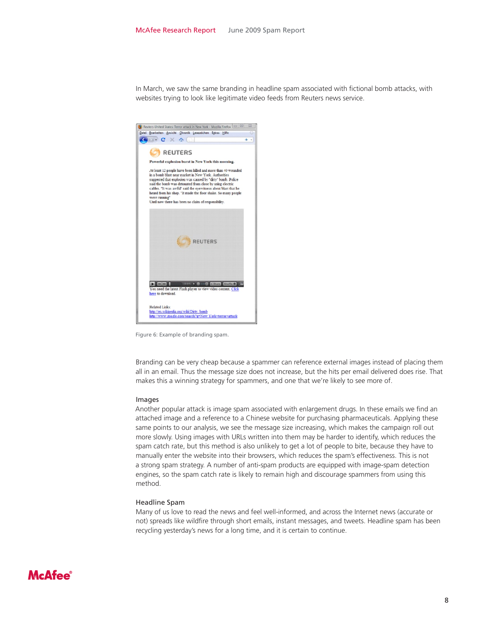In March, we saw the same branding in headline spam associated with fictional bomb attacks, with websites trying to look like legitimate video feeds from Reuters news service.



Figure 6: Example of branding spam.

Branding can be very cheap because a spammer can reference external images instead of placing them all in an email. Thus the message size does not increase, but the hits per email delivered does rise. That makes this a winning strategy for spammers, and one that we're likely to see more of.

#### Images

Another popular attack is image spam associated with enlargement drugs. In these emails we find an attached image and a reference to a Chinese website for purchasing pharmaceuticals. Applying these same points to our analysis, we see the message size increasing, which makes the campaign roll out more slowly. Using images with URLs written into them may be harder to identify, which reduces the spam catch rate, but this method is also unlikely to get a lot of people to bite, because they have to manually enter the website into their browsers, which reduces the spam's effectiveness. This is not a strong spam strategy. A number of anti-spam products are equipped with image-spam detection engines, so the spam catch rate is likely to remain high and discourage spammers from using this method.

#### Headline Spam

Many of us love to read the news and feel well-informed, and across the Internet news (accurate or not) spreads like wildfire through short emails, instant messages, and tweets. Headline spam has been recycling yesterday's news for a long time, and it is certain to continue.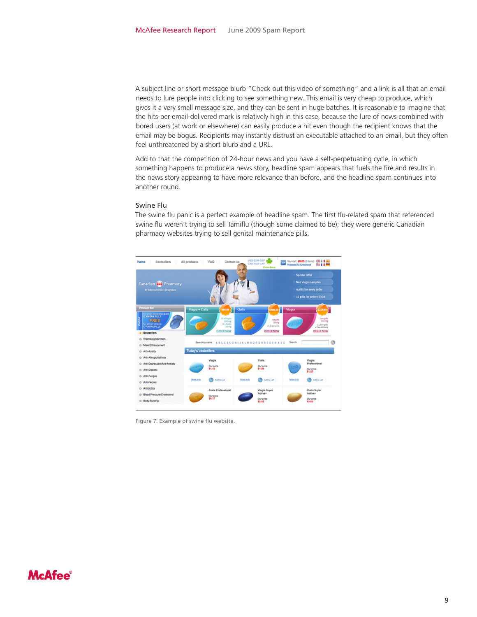A subject line or short message blurb "Check out this video of something" and a link is all that an email needs to lure people into clicking to see something new. This email is very cheap to produce, which gives it a very small message size, and they can be sent in huge batches. It is reasonable to imagine that the hits-per-email-delivered mark is relatively high in this case, because the lure of news combined with bored users (at work or elsewhere) can easily produce a hit even though the recipient knows that the email may be bogus. Recipients may instantly distrust an executable attached to an email, but they often feel unthreatened by a short blurb and a URL.

Add to that the competition of 24-hour news and you have a self-perpetuating cycle, in which something happens to produce a news story, headline spam appears that fuels the fire and results in the news story appearing to have more relevance than before, and the headline spam continues into another round.

#### Swine Flu

The swine flu panic is a perfect example of headline spam. The first flu-related spam that referenced swine flu weren't trying to sell Tamiflu (though some claimed to be); they were generic Canadian pharmacy websites trying to sell genital maintenance pills.



Figure 7: Example of swine flu website.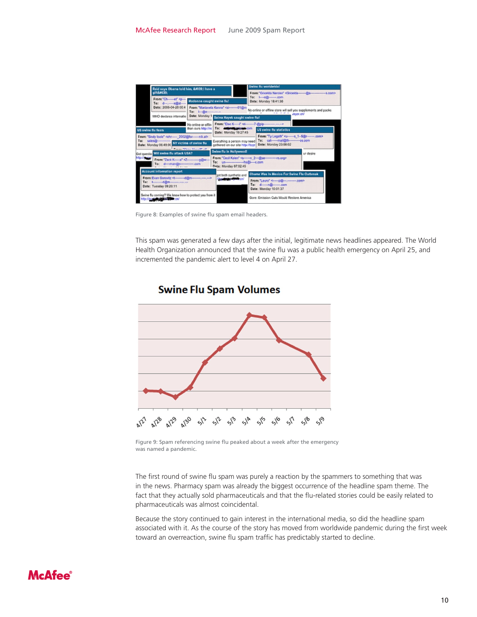| Reid says Obama told him, 'I have a                                                                                                                                                                 |                                                                                                                                                                                                              |                                                                                                                                                    | Swine flu worldwide!<br>From: "Gricelda Narciso" <gricelda--------@a------------------ s.com=""></gricelda--------@a------------------> |                                                                                                                                                               |           |
|-----------------------------------------------------------------------------------------------------------------------------------------------------------------------------------------------------|--------------------------------------------------------------------------------------------------------------------------------------------------------------------------------------------------------------|----------------------------------------------------------------------------------------------------------------------------------------------------|-----------------------------------------------------------------------------------------------------------------------------------------|---------------------------------------------------------------------------------------------------------------------------------------------------------------|-----------|
| aift':                                                                                                                                                                                              |                                                                                                                                                                                                              |                                                                                                                                                    |                                                                                                                                         |                                                                                                                                                               |           |
| From: "Ch------e!" <p---<br>d   x @st <br/>To:</p---<br>                                                                                                                                            | Madonna caught swine flu!                                                                                                                                                                                    |                                                                                                                                                    | Date: Monday 18:41:38                                                                                                                   |                                                                                                                                                               |           |
| Date: 2008-04-28 00:4                                                                                                                                                                               | From: "Marianela Konno" <si---------01@m<br>No online or offline store will sell you supplements and packs<br/>To: 1-20-<br/><b>B. A.L. - ART - B.</b><br/>voyor.cn/<br/>Date: Monday 1</si---------01@m<br> |                                                                                                                                                    |                                                                                                                                         |                                                                                                                                                               |           |
| WHO declares internatio                                                                                                                                                                             | Salma Hayek caught swine flu!                                                                                                                                                                                |                                                                                                                                                    |                                                                                                                                         |                                                                                                                                                               |           |
| <b>US swine flu fears</b>                                                                                                                                                                           | No online or offlin<br>than ours http://rx                                                                                                                                                                   | From: 'Else K-----i' <n---------7-@pip-----------.-------><br/>To: definitions com<br/>Date: Monday 19:27:45</n---------7-@pip-----------.-------> |                                                                                                                                         | <b>US swine flu statistics</b>                                                                                                                                |           |
| From: "Sindy look" <ehr----- 2002@for------nik.at=""><br/>sales@-------------<br/>Date: Monday 06:49:00 NY victims of swine flu<br/>Got questio Will swine flu attack USA?</ehr----->               | Process Miller Manufill all                                                                                                                                                                                  | Everything a person may need<br>gathered on our site http://bzzr<br>Swine flu in Hollywood!                                                        |                                                                                                                                         | From: "Ty Legath" <u------ \$="" 1--5@r-------.com=""><br/>cat-------mail@th--------------os.com<br/>To:<br/>Date: Monday 23:08:02</u------>                  | ur desire |
| http://www.<br>From: "Zack K----- a" < Z-------------- g@w---<br>To: d----man@n-------------com                                                                                                     |                                                                                                                                                                                                              | From: "Cecil Kalen" <s------ 2---@se------------rs.org="" n=""><br/>Date: Monday 07:02:45</s------>                                                |                                                                                                                                         |                                                                                                                                                               |           |
| <b>Account information report</b><br>From: Evan Gorovitz <t----------d@m---------,----,---><br/>To: t-----------d@m----------.-------<br/>Date: Tuesday 09:20:11</t----------d@m---------,----,---> |                                                                                                                                                                                                              | tot both synthetic and<br><b><i><u><i><u><b>hosinissi Title cn/</b></u></i></u></i></b>                                                            |                                                                                                                                         | Obama Was In Mexico For Swine Flu Outbreak<br>From: "Lauro" <i----- ---------.="" com="" p@----=""><br/>To: d------- 0.00m<br/>Date: Monday 10:01:37</i-----> |           |
| Swine flu coming? We know how to protect you from it<br>http://zustate.ges.skx.spie.cn/                                                                                                             |                                                                                                                                                                                                              |                                                                                                                                                    |                                                                                                                                         | Gore: Emission Cuts Would Restore America                                                                                                                     |           |

Figure 8: Examples of swine flu spam email headers.

This spam was generated a few days after the initial, legitimate news headlines appeared. The World Health Organization announced that the swine flu was a public health emergency on April 25, and incremented the pandemic alert to level 4 on April 27.



### **Swine Flu Spam Volumes**

Figure 9: Spam referencing swine flu peaked about a week after the emergency was named a pandemic.

The first round of swine flu spam was purely a reaction by the spammers to something that was in the news. Pharmacy spam was already the biggest occurrence of the headline spam theme. The fact that they actually sold pharmaceuticals and that the flu-related stories could be easily related to pharmaceuticals was almost coincidental.

Because the story continued to gain interest in the international media, so did the headline spam associated with it. As the course of the story has moved from worldwide pandemic during the first week toward an overreaction, swine flu spam traffic has predictably started to decline.